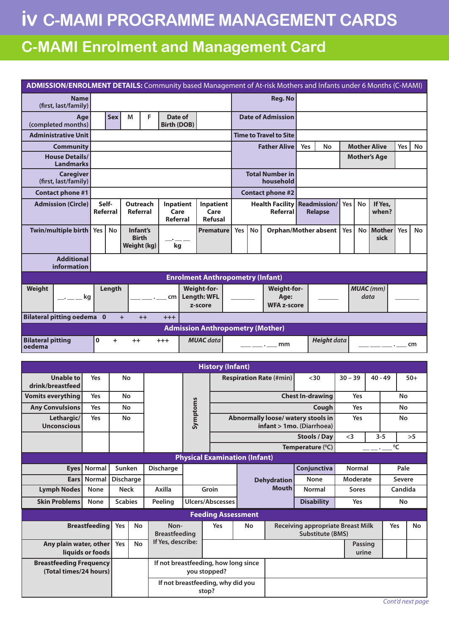## **iv C-MAMI PROGRAMME MANAGEMENT CARDS**

## **C-MAMI Enrolment and Management Card**

| ADMISSION/ENROLMENT DETAILS: Community based Management of At-risk Mothers and Infants under 6 Months (C-MAMI) |                                                            |                                                |             |                                                      |                                                                 |                               |                                      |                                                 |                           |                                     |                                         |                                             |                                          |                     |                         |         |             |       |  |  |
|----------------------------------------------------------------------------------------------------------------|------------------------------------------------------------|------------------------------------------------|-------------|------------------------------------------------------|-----------------------------------------------------------------|-------------------------------|--------------------------------------|-------------------------------------------------|---------------------------|-------------------------------------|-----------------------------------------|---------------------------------------------|------------------------------------------|---------------------|-------------------------|---------|-------------|-------|--|--|
| <b>Name</b><br>(first, last/family)                                                                            |                                                            |                                                |             |                                                      |                                                                 |                               |                                      |                                                 |                           |                                     | <b>Reg. No</b>                          |                                             |                                          |                     |                         |         |             |       |  |  |
| Age<br>(completed months)                                                                                      |                                                            | F<br><b>Sex</b><br>M                           |             |                                                      |                                                                 | Date of<br><b>Birth (DOB)</b> |                                      |                                                 | <b>Date of Admission</b>  |                                     |                                         |                                             |                                          |                     |                         |         |             |       |  |  |
| <b>Administrative Unit</b>                                                                                     |                                                            |                                                |             |                                                      |                                                                 | <b>Time to Travel to Site</b> |                                      |                                                 |                           |                                     |                                         |                                             |                                          |                     |                         |         |             |       |  |  |
| <b>Community</b>                                                                                               |                                                            |                                                |             |                                                      |                                                                 |                               | <b>Father Alive</b>                  |                                                 |                           | Yes                                 | No                                      |                                             |                                          | <b>Mother Alive</b> | Yes                     | No      |             |       |  |  |
| <b>House Details/</b><br><b>Landmarks</b>                                                                      |                                                            |                                                |             |                                                      |                                                                 |                               |                                      |                                                 | <b>Mother's Age</b>       |                                     |                                         |                                             |                                          |                     |                         |         |             |       |  |  |
| <b>Caregiver</b><br>(first, last/family)                                                                       |                                                            |                                                |             |                                                      |                                                                 |                               |                                      |                                                 |                           | <b>Total Number in</b><br>household |                                         |                                             |                                          |                     |                         |         |             |       |  |  |
| <b>Contact phone #1</b>                                                                                        |                                                            |                                                |             |                                                      |                                                                 |                               |                                      |                                                 |                           | <b>Contact phone #2</b>             |                                         |                                             |                                          |                     |                         |         |             |       |  |  |
| <b>Admission (Circle)</b>                                                                                      | Self-<br>Referral                                          | <b>Outreach</b><br>Referral                    |             |                                                      | <b>Inpatient</b><br>Care<br>Referral                            |                               | Inpatient<br>Care<br><b>Refusal</b>  | <b>Health Facility Readmission/</b><br>Referral |                           |                                     | <b>Relapse</b>                          | Yes I                                       | <b>No</b>                                | If Yes,<br>when?    |                         |         |             |       |  |  |
| Twin/multiple birth                                                                                            | No                                                         | Infant's<br><b>Birth</b><br><b>Weight (kg)</b> |             | kg                                                   |                                                                 |                               | <b>Premature</b><br>Yes              |                                                 | No                        | <b>Orphan/Mother absent</b>         |                                         |                                             | Yes                                      | <b>No</b>           | <b>Mother</b><br>sick   | Yes     | No          |       |  |  |
| <b>Additional</b><br>information                                                                               |                                                            |                                                |             |                                                      |                                                                 |                               |                                      |                                                 |                           |                                     |                                         |                                             |                                          |                     |                         |         |             |       |  |  |
|                                                                                                                |                                                            |                                                |             |                                                      |                                                                 |                               |                                      |                                                 |                           |                                     | <b>Enrolment Anthropometry (Infant)</b> |                                             |                                          |                     |                         |         |             |       |  |  |
| Weight                                                                                                         |                                                            | Weight-for-<br>Length                          |             |                                                      |                                                                 |                               |                                      |                                                 |                           |                                     | <b>Weight-for-</b>                      |                                             |                                          | <b>MUAC</b> (mm)    |                         |         |             |       |  |  |
| $\ldots$ $\ldots$ kg                                                                                           |                                                            |                                                |             | Length: WFL<br>cm <sub>2</sub>                       |                                                                 |                               |                                      |                                                 | Age:                      |                                     |                                         |                                             |                                          | data                |                         |         |             |       |  |  |
| <b>Bilateral pitting oedema</b> 0<br>$+$                                                                       |                                                            |                                                |             |                                                      | z-score<br>$++$<br>$+ + +$                                      |                               |                                      |                                                 |                           |                                     | <b>WFA z-score</b>                      |                                             |                                          |                     |                         |         |             |       |  |  |
|                                                                                                                |                                                            |                                                |             |                                                      |                                                                 |                               |                                      |                                                 |                           |                                     | <b>Admission Anthropometry (Mother)</b> |                                             |                                          |                     |                         |         |             |       |  |  |
| <b>Bilateral pitting</b><br>oedema                                                                             | $\mathbf 0$<br><b>MUAC</b> data<br>$+$<br>$++$<br>$^{+++}$ |                                                |             |                                                      |                                                                 |                               |                                      | <u> Linda and a strong pro</u>                  | mm                        |                                     | <b>Height data</b>                      |                                             |                                          |                     |                         | cm      |             |       |  |  |
| <b>History (Infant)</b>                                                                                        |                                                            |                                                |             |                                                      |                                                                 |                               |                                      |                                                 |                           |                                     |                                         |                                             |                                          |                     |                         |         |             |       |  |  |
| <b>Unable to</b>                                                                                               |                                                            |                                                |             |                                                      |                                                                 |                               |                                      |                                                 |                           |                                     |                                         |                                             | $30$                                     | $30 - 39$           |                         | 40 - 49 |             |       |  |  |
| drink/breastfeed                                                                                               | Yes                                                        | No                                             |             |                                                      |                                                                 |                               |                                      |                                                 |                           |                                     | <b>Respiration Rate (#min)</b>          |                                             |                                          |                     |                         |         |             | $50+$ |  |  |
| <b>Vomits everything</b>                                                                                       | Yes                                                        | No                                             |             |                                                      |                                                                 |                               |                                      |                                                 |                           |                                     |                                         | <b>Chest In-drawing</b>                     |                                          | Yes                 |                         | No      |             |       |  |  |
| <b>Any Convulsions</b>                                                                                         |                                                            | Yes<br>No                                      |             |                                                      |                                                                 | ptoms                         |                                      |                                                 |                           |                                     |                                         | Cough<br>Abnormally loose/ watery stools in |                                          |                     | Yes<br>Yes              |         | No<br>No    |       |  |  |
| Lethargic/<br><b>Unconscious</b>                                                                               |                                                            | Yes<br>No<br>Sym                               |             |                                                      |                                                                 |                               |                                      |                                                 | infant > 1mo. (Diarrhoea) |                                     |                                         |                                             |                                          |                     |                         |         |             |       |  |  |
|                                                                                                                |                                                            |                                                |             |                                                      |                                                                 |                               |                                      |                                                 |                           |                                     |                                         |                                             | <b>Stools / Day</b>                      | $3$                 |                         | $3 - 5$ | >5          |       |  |  |
|                                                                                                                |                                                            |                                                |             |                                                      |                                                                 |                               |                                      |                                                 |                           |                                     |                                         |                                             | Temperature (°C)                         |                     |                         |         | $\rm ^{0}C$ |       |  |  |
|                                                                                                                |                                                            |                                                |             |                                                      |                                                                 |                               | <b>Physical Examination (Infant)</b> |                                                 |                           |                                     |                                         |                                             |                                          |                     |                         |         |             |       |  |  |
|                                                                                                                | Eyes   Normal                                              |                                                | Sunken      |                                                      | <b>Discharge</b>                                                |                               |                                      |                                                 |                           |                                     |                                         |                                             | Conjunctiva                              | Normal              |                         | Pale    |             |       |  |  |
| Ears<br><b>Lymph Nodes</b>                                                                                     | Normal<br>None                                             | <b>Discharge</b>                               | <b>Neck</b> |                                                      | Axilla                                                          |                               | Groin                                |                                                 |                           |                                     | <b>Dehydration</b><br><b>Mouth</b>      |                                             | <b>None</b><br>Normal                    | Moderate            |                         |         | Severe      |       |  |  |
| <b>Skin Problems</b>                                                                                           | None                                                       |                                                |             |                                                      |                                                                 |                               |                                      |                                                 |                           |                                     |                                         |                                             |                                          | <b>Sores</b><br>Yes |                         |         | Candida     |       |  |  |
| <b>Scabies</b>                                                                                                 |                                                            |                                                |             |                                                      | Peeling<br><b>Ulcers/Abscesses</b><br><b>Feeding Assessment</b> |                               |                                      |                                                 |                           |                                     |                                         |                                             | <b>Disability</b>                        |                     |                         |         | No          |       |  |  |
|                                                                                                                | <b>Breastfeeding</b>                                       | Yes                                            | No          |                                                      | Non-                                                            |                               |                                      | Yes                                             |                           | No                                  |                                         |                                             |                                          |                     |                         |         | Yes         | No    |  |  |
|                                                                                                                |                                                            |                                                |             | <b>Breastfeeding</b>                                 |                                                                 |                               |                                      |                                                 |                           |                                     |                                         | <b>Substitute (BMS)</b>                     | <b>Receiving appropriate Breast Milk</b> |                     |                         |         |             |       |  |  |
| Any plain water, other<br>liquids or foods                                                                     |                                                            | Yes                                            | No          |                                                      | If Yes, describe:                                               |                               |                                      |                                                 |                           |                                     |                                         |                                             |                                          |                     | <b>Passing</b><br>urine |         |             |       |  |  |
| <b>Breastfeeding Frequency</b><br>(Total times/24 hours)                                                       |                                                            |                                                |             | If not breastfeeding, how long since<br>you stopped? |                                                                 |                               |                                      |                                                 |                           |                                     |                                         |                                             |                                          |                     |                         |         |             |       |  |  |
|                                                                                                                |                                                            |                                                |             | If not breastfeeding, why did you<br>stop?           |                                                                 |                               |                                      |                                                 |                           |                                     |                                         |                                             |                                          |                     |                         |         |             |       |  |  |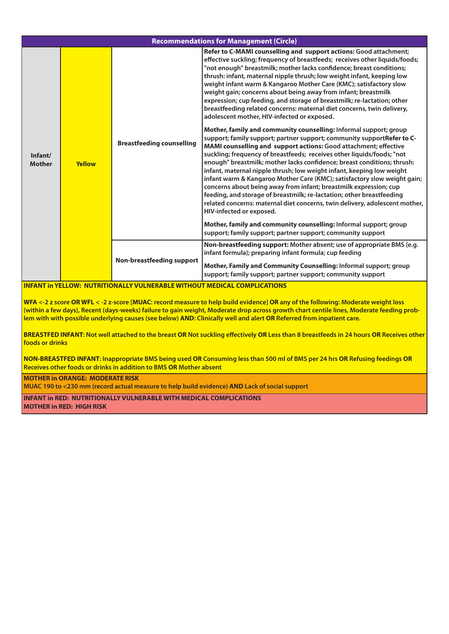| <b>Recommendations for Management (Circle)</b> |               |                                                                                 |                                                                                                                                                                                                                                                                                                                                                                                                                                                                                                                                                                                                                                                                                                                                                                                                                                                                                                                                                                                                                                                                                                                                                                                                                                                                                                                                                                                                                                      |  |  |  |  |  |  |  |
|------------------------------------------------|---------------|---------------------------------------------------------------------------------|--------------------------------------------------------------------------------------------------------------------------------------------------------------------------------------------------------------------------------------------------------------------------------------------------------------------------------------------------------------------------------------------------------------------------------------------------------------------------------------------------------------------------------------------------------------------------------------------------------------------------------------------------------------------------------------------------------------------------------------------------------------------------------------------------------------------------------------------------------------------------------------------------------------------------------------------------------------------------------------------------------------------------------------------------------------------------------------------------------------------------------------------------------------------------------------------------------------------------------------------------------------------------------------------------------------------------------------------------------------------------------------------------------------------------------------|--|--|--|--|--|--|--|
|                                                |               |                                                                                 |                                                                                                                                                                                                                                                                                                                                                                                                                                                                                                                                                                                                                                                                                                                                                                                                                                                                                                                                                                                                                                                                                                                                                                                                                                                                                                                                                                                                                                      |  |  |  |  |  |  |  |
| Infant/<br><b>Mother</b>                       | <b>Yellow</b> | <b>Breastfeeding counselling</b>                                                | Refer to C-MAMI counselling and support actions: Good attachment;<br>effective suckling; frequency of breastfeeds; receives other liquids/foods;<br>"not enough" breastmilk; mother lacks confidence; breast conditions;<br>thrush: infant, maternal nipple thrush; low weight infant, keeping low<br>weight infant warm & Kangaroo Mother Care (KMC); satisfactory slow<br>weight gain; concerns about being away from infant; breastmilk<br>expression; cup feeding, and storage of breastmilk; re-lactation; other<br>breastfeeding related concerns: maternal diet concerns, twin delivery,<br>adolescent mother, HIV-infected or exposed.<br>Mother, family and community counselling: Informal support; group<br>support; family support; partner support; community supportRefer to C-<br>MAMI counselling and support actions: Good attachment; effective<br>suckling; frequency of breastfeeds; receives other liquids/foods; "not<br>enough" breastmilk; mother lacks confidence; breast conditions; thrush:<br>infant, maternal nipple thrush; low weight infant, keeping low weight<br>infant warm & Kangaroo Mother Care (KMC); satisfactory slow weight gain;<br>concerns about being away from infant; breastmilk expression; cup<br>feeding, and storage of breastmilk; re-lactation; other breastfeeding<br>related concerns: maternal diet concerns, twin delivery, adolescent mother,<br>HIV-infected or exposed. |  |  |  |  |  |  |  |
|                                                |               |                                                                                 | Mother, family and community counselling: Informal support; group<br>support; family support; partner support; community support                                                                                                                                                                                                                                                                                                                                                                                                                                                                                                                                                                                                                                                                                                                                                                                                                                                                                                                                                                                                                                                                                                                                                                                                                                                                                                     |  |  |  |  |  |  |  |
|                                                |               | Non-breastfeeding support                                                       | Non-breastfeeding support: Mother absent; use of appropriate BMS (e.g.<br>infant formula); preparing infant formula; cup feeding                                                                                                                                                                                                                                                                                                                                                                                                                                                                                                                                                                                                                                                                                                                                                                                                                                                                                                                                                                                                                                                                                                                                                                                                                                                                                                     |  |  |  |  |  |  |  |
|                                                |               |                                                                                 | Mother, Family and Community Counselling: Informal support; group<br>support; family support; partner support; community support                                                                                                                                                                                                                                                                                                                                                                                                                                                                                                                                                                                                                                                                                                                                                                                                                                                                                                                                                                                                                                                                                                                                                                                                                                                                                                     |  |  |  |  |  |  |  |
|                                                |               | <b>INFANT in YELLOW: NUTRITIONALLY VULNERABLE WITHOUT MEDICAL COMPLICATIONS</b> |                                                                                                                                                                                                                                                                                                                                                                                                                                                                                                                                                                                                                                                                                                                                                                                                                                                                                                                                                                                                                                                                                                                                                                                                                                                                                                                                                                                                                                      |  |  |  |  |  |  |  |

WFA <-2 z score OR WFL < -2 z-score [MUAC: record measure to help build evidence] OR any of the following: Moderate weight loss (within a few days), Recent (days-weeks) failure to gain weight, Moderate drop across growth chart centile lines, Moderate feeding problem with with possible underlying causes (see below) AND: Clinically well and alert OR Referred from inpatient care.

BREASTFED INFANT: Not well attached to the breast OR Not suckling effectively OR Less than 8 breastfeeds in 24 hours OR Receives other **foods or drinks**

NON-BREASTFED INFANT: Inappropriate BMS being used OR Consuming less than 500 ml of BMS per 24 hrs OR Refusing feedings OR **Receives other foods or drinks in addition to BMS OR Mother absent**

**MOTHER in ORANGE: MODERATE RISK**

**MUAC 190 to <230 mm (record actual measure to help build evidence) AND Lack of social support**

**INFANT in RED: NUTRITIONALLY VULNERABLE WITH MEDICAL COMPLICATIONS MOTHER in RED: HIGH RISK**